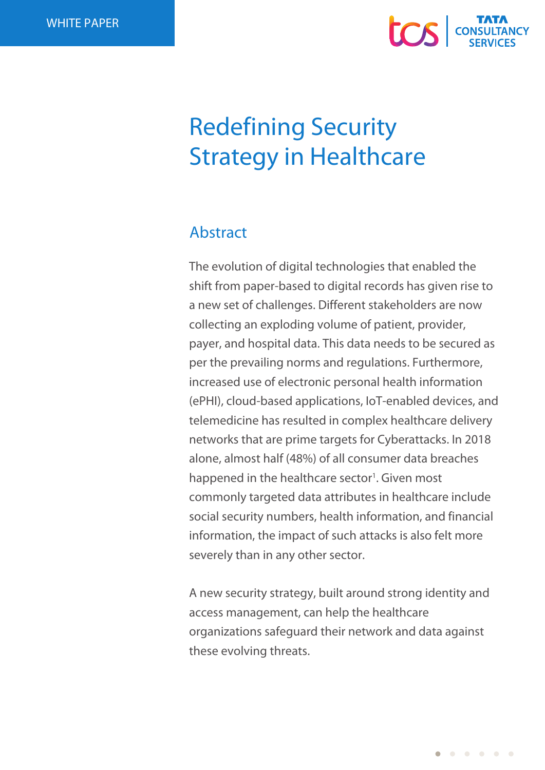

# Redefining Security Strategy in Healthcare

# Abstract

The evolution of digital technologies that enabled the shift from paper-based to digital records has given rise to a new set of challenges. Different stakeholders are now collecting an exploding volume of patient, provider, payer, and hospital data. This data needs to be secured as per the prevailing norms and regulations. Furthermore, increased use of electronic personal health information (ePHI), cloud-based applications, IoT-enabled devices, and telemedicine has resulted in complex healthcare delivery networks that are prime targets for Cyberattacks. In 2018 alone, almost half (48%) of all consumer data breaches happened in the healthcare sector<sup>1</sup>. Given most commonly targeted data attributes in healthcare include social security numbers, health information, and financial information, the impact of such attacks is also felt more severely than in any other sector.

A new security strategy, built around strong identity and access management, can help the healthcare organizations safeguard their network and data against these evolving threats.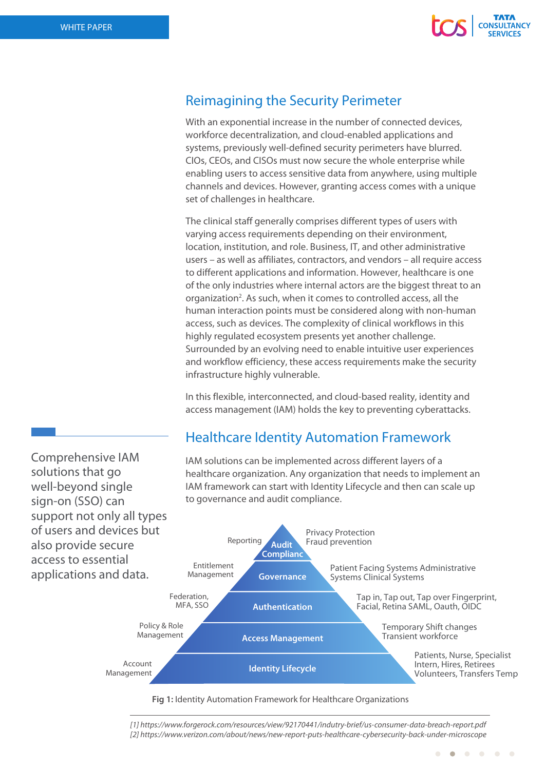

## Reimagining the Security Perimeter

With an exponential increase in the number of connected devices, workforce decentralization, and cloud-enabled applications and systems, previously well-defined security perimeters have blurred. CIOs, CEOs, and CISOs must now secure the whole enterprise while enabling users to access sensitive data from anywhere, using multiple channels and devices. However, granting access comes with a unique set of challenges in healthcare.

The clinical staff generally comprises different types of users with varying access requirements depending on their environment, location, institution, and role. Business, IT, and other administrative users – as well as affiliates, contractors, and vendors – all require access to different applications and information. However, healthcare is one of the only industries where internal actors are the biggest threat to an organization<sup>2</sup>. As such, when it comes to controlled access, all the human interaction points must be considered along with non-human access, such as devices. The complexity of clinical workflows in this highly regulated ecosystem presents yet another challenge. Surrounded by an evolving need to enable intuitive user experiences and workflow efficiency, these access requirements make the security infrastructure highly vulnerable.

In this flexible, interconnected, and cloud-based reality, identity and access management (IAM) holds the key to preventing cyberattacks.

## Healthcare Identity Automation Framework

IAM solutions can be implemented across different layers of a

healthcare organization. Any organization that needs to implement an IAM framework can start with Identity Lifecycle and then can scale up to governance and audit compliance. **Audit Complianc** Reporting Entitlement Management Federation, MFA, SSO Policy & Role Management Account Management **Governance Authentication Access Management Identity Lifecycle** Privacy Protection Fraud prevention Patient Facing Systems Administrative Systems Clinical Systems Tap in, Tap out, Tap over Fingerprint, Facial, Retina SAML, Oauth, OIDC Temporary Shift changes Transient workforce Patients, Nurse, Specialist Intern, Hires, Retirees Volunteers, Transfers Temp

**Fig 1:** Identity Automation Framework for Healthcare Organizations

*[1] https://www.forgerock.com/resources/view/92170441/indutry-brief/us-consumer-data-breach-report.pdf [2] https://www.verizon.com/about/news/new-report-puts-healthcare-cybersecurity-back-under-microscope*

 $\bullet$ 

**COLOR** 

Comprehensive IAM solutions that go well-beyond single sign-on (SSO) can support not only all types of users and devices but also provide secure access to essential applications and data.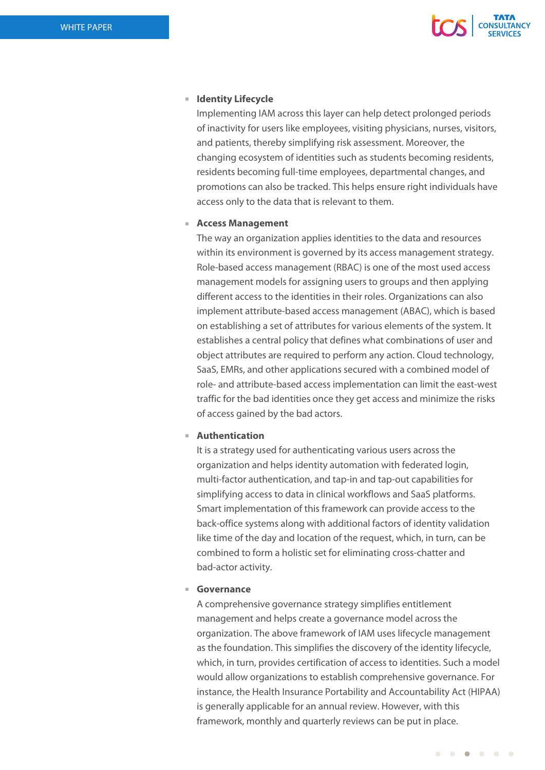

#### **Identity Lifecycle**

Implementing IAM across this layer can help detect prolonged periods of inactivity for users like employees, visiting physicians, nurses, visitors, and patients, thereby simplifying risk assessment. Moreover, the changing ecosystem of identities such as students becoming residents, residents becoming full-time employees, departmental changes, and promotions can also be tracked. This helps ensure right individuals have access only to the data that is relevant to them.

#### **Access Management**

The way an organization applies identities to the data and resources within its environment is governed by its access management strategy. Role-based access management (RBAC) is one of the most used access management models for assigning users to groups and then applying different access to the identities in their roles. Organizations can also implement attribute-based access management (ABAC), which is based on establishing a set of attributes for various elements of the system. It establishes a central policy that defines what combinations of user and object attributes are required to perform any action. Cloud technology, SaaS, EMRs, and other applications secured with a combined model of role- and attribute-based access implementation can limit the east-west traffic for the bad identities once they get access and minimize the risks of access gained by the bad actors.

## **Authentication**

It is a strategy used for authenticating various users across the organization and helps identity automation with federated login, multi-factor authentication, and tap-in and tap-out capabilities for simplifying access to data in clinical workflows and SaaS platforms. Smart implementation of this framework can provide access to the back-office systems along with additional factors of identity validation like time of the day and location of the request, which, in turn, can be combined to form a holistic set for eliminating cross-chatter and bad-actor activity.

#### **Governance**

A comprehensive governance strategy simplifies entitlement management and helps create a governance model across the organization. The above framework of IAM uses lifecycle management as the foundation. This simplifies the discovery of the identity lifecycle, which, in turn, provides certification of access to identities. Such a model would allow organizations to establish comprehensive governance. For instance, the Health Insurance Portability and Accountability Act (HIPAA) is generally applicable for an annual review. However, with this framework, monthly and quarterly reviews can be put in place.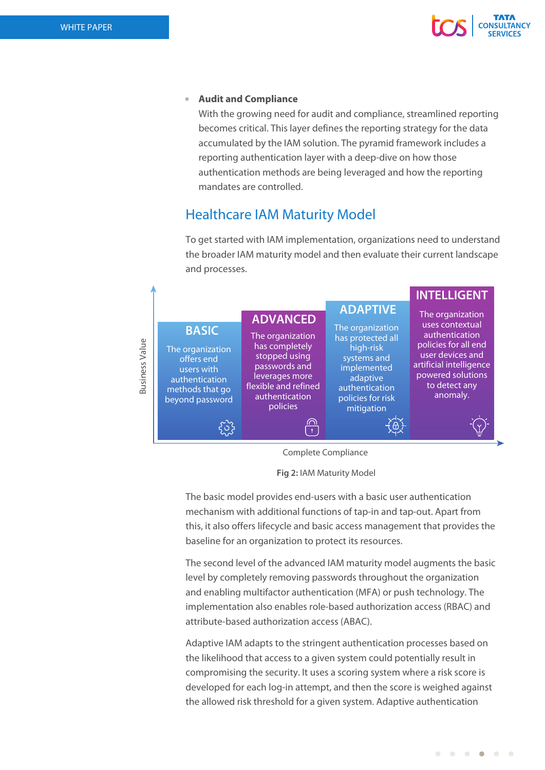

## **Audit and Compliance**

With the growing need for audit and compliance, streamlined reporting becomes critical. This layer defines the reporting strategy for the data accumulated by the IAM solution. The pyramid framework includes a reporting authentication layer with a deep-dive on how those authentication methods are being leveraged and how the reporting mandates are controlled.

## Healthcare IAM Maturity Model

To get started with IAM implementation, organizations need to understand the broader IAM maturity model and then evaluate their current landscape and processes.



Complete Compliance

**Fig 2:** IAM Maturity Model

The basic model provides end-users with a basic user authentication mechanism with additional functions of tap-in and tap-out. Apart from this, it also offers lifecycle and basic access management that provides the baseline for an organization to protect its resources.

The second level of the advanced IAM maturity model augments the basic level by completely removing passwords throughout the organization and enabling multifactor authentication (MFA) or push technology. The implementation also enables role-based authorization access (RBAC) and attribute-based authorization access (ABAC).

Adaptive IAM adapts to the stringent authentication processes based on the likelihood that access to a given system could potentially result in compromising the security. It uses a scoring system where a risk score is developed for each log-in attempt, and then the score is weighed against the allowed risk threshold for a given system. Adaptive authentication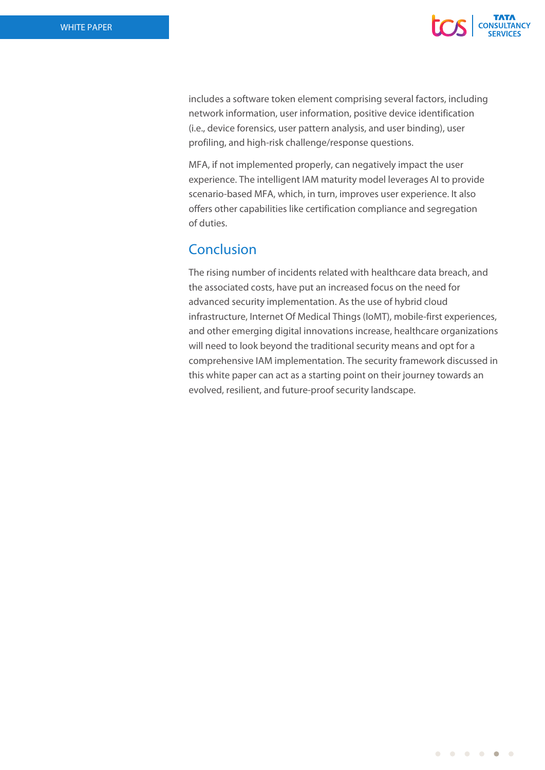

includes a software token element comprising several factors, including network information, user information, positive device identification (i.e., device forensics, user pattern analysis, and user binding), user profiling, and high-risk challenge/response questions.

MFA, if not implemented properly, can negatively impact the user experience. The intelligent IAM maturity model leverages AI to provide scenario-based MFA, which, in turn, improves user experience. It also offers other capabilities like certification compliance and segregation of duties.

# Conclusion

The rising number of incidents related with healthcare data breach, and the associated costs, have put an increased focus on the need for advanced security implementation. As the use of hybrid cloud infrastructure, Internet Of Medical Things (IoMT), mobile-first experiences, and other emerging digital innovations increase, healthcare organizations will need to look beyond the traditional security means and opt for a comprehensive IAM implementation. The security framework discussed in this white paper can act as a starting point on their journey towards an evolved, resilient, and future-proof security landscape.